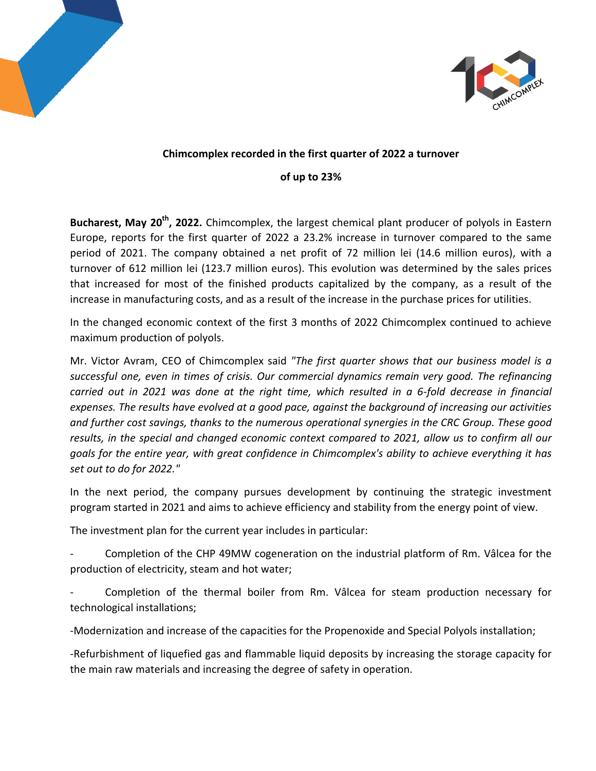



## **Chimcomplex recorded in the first quarter of 2022 a turnover**

## **of up to 23%**

**Bucharest, May 20th, 2022.** Chimcomplex, the largest chemical plant producer of polyols in Eastern Europe, reports for the first quarter of 2022 a 23.2% increase in turnover compared to the same period of 2021. The company obtained a net profit of 72 million lei (14.6 million euros), with a turnover of 612 million lei (123.7 million euros). This evolution was determined by the sales prices that increased for most of the finished products capitalized by the company, as a result of the increase in manufacturing costs, and as a result of the increase in the purchase prices for utilities.

In the changed economic context of the first 3 months of 2022 Chimcomplex continued to achieve maximum production of polyols.

Mr. Victor Avram, CEO of Chimcomplex said *"The first quarter shows that our business model is a successful one, even in times of crisis. Our commercial dynamics remain very good. The refinancing carried out in 2021 was done at the right time, which resulted in a 6-fold decrease in financial expenses. The results have evolved at a good pace, against the background of increasing our activities and further cost savings, thanks to the numerous operational synergies in the CRC Group. These good results, in the special and changed economic context compared to 2021, allow us to confirm all our goals for the entire year, with great confidence in Chimcomplex's ability to achieve everything it has set out to do for 2022."*

In the next period, the company pursues development by continuing the strategic investment program started in 2021 and aims to achieve efficiency and stability from the energy point of view.

The investment plan for the current year includes in particular:

- Completion of the CHP 49MW cogeneration on the industrial platform of Rm. Vâlcea for the production of electricity, steam and hot water;

Completion of the thermal boiler from Rm. Vâlcea for steam production necessary for technological installations;

-Modernization and increase of the capacities for the Propenoxide and Special Polyols installation;

-Refurbishment of liquefied gas and flammable liquid deposits by increasing the storage capacity for the main raw materials and increasing the degree of safety in operation.